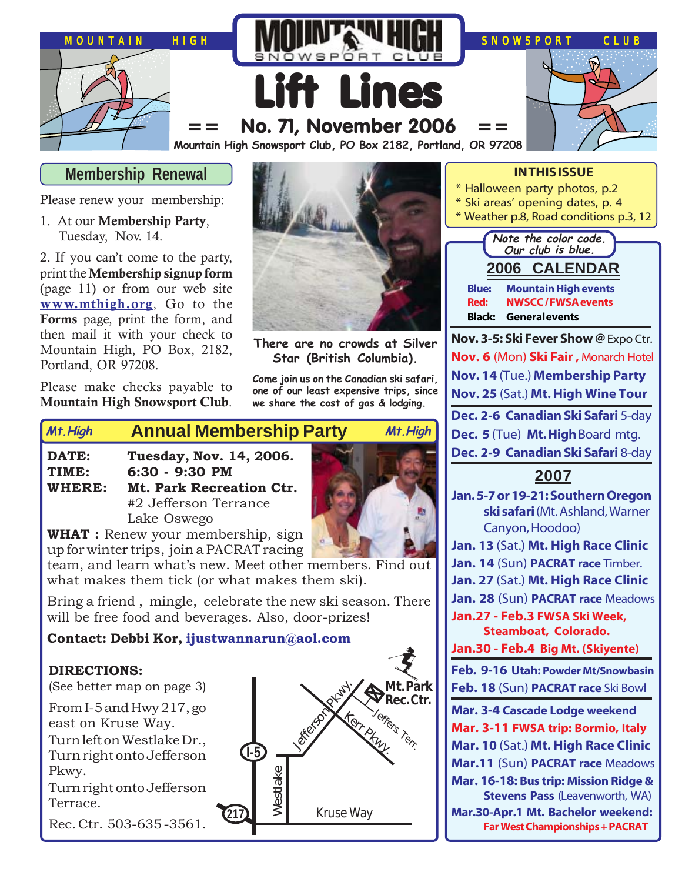

## **Membership Renewal**

Please renew your membership:

1. At our **Membership Party**, Tuesday, Nov. 14.

2. If you can't come to the party, print the **Membership signup form** (page 11) or from our web site **[www.mthigh.org](http://www.mthigh.org/)**, Go to the **Forms** page, print the form, and then mail it with your check to Mountain High, PO Box, 2182, Portland, OR 97208.

Please make checks payable to **Mountain High Snowsport Club**.



**There are no crowds at Silver Star (British Columbia).**

**Come join us on the Canadian ski safari, one of our least expensive trips, since we share the cost of gas & lodging.**

# **Annual Membership Party Mt.High Mt.High**

- **DATE: Tuesday, Nov. 14, 2006.**
- **TIME: 6:30 9:30 PM**
- **WHERE: Mt. Park Recreation Ctr.** #2 Jefferson Terrance Lake Oswego

**WHAT :** Renew your membership, sign up for winter trips, join a PACRAT racing

team, and learn what's new. Meet other members. Find out what makes them tick (or what makes them ski).

Bring a friend , mingle, celebrate the new ski season. There will be free food and beverages. Also, door-prizes!

#### **Contact: Debbi Kor, [ijustwannarun@aol.com](mailto:Ijustwannarun@aol.com)**

#### **DIRECTIONS:**

(See better map on page 3)

From I-5 and Hwy 217, go east on Kruse Way. Turn left on Westlake Dr., Turn right onto Jefferson Pkwy.

Turn right onto Jefferson Terrace.

Rec. Ctr. 503-635 -3561.



#### **IN THIS ISSUE**

- \* Halloween party photos, p.2
- \* Ski areas' opening dates, p. 4
- \* Weather p.8, Road conditions p.3, 12



**Nov. 3-5: Ski Fever Show @** Expo Ctr. **Nov. 6** (Mon) **Ski Fair ,** Monarch Hotel **Nov. 14** (Tue.) **Membership Party Nov. 25** (Sat.) **Mt. High Wine Tour Dec. 2-6 Canadian Ski Safari** 5-day **Dec. 5** (Tue) **Mt. High** Board mtg. **Dec. 2-9 Canadian Ski Safari** 8-day

#### **2007**

**Jan. 5-7 or 19-21: Southern Oregon ski safari** (Mt. Ashland, Warner Canyon, Hoodoo) **Jan. 13** (Sat.) **Mt. High Race Clinic Jan. 14** (Sun) **PACRAT race** Timber. **Jan. 27** (Sat.) **Mt. High Race Clinic Jan. 28** (Sun) **PACRAT race** Meadows **Jan.27 - Feb.3 FWSA Ski Week, Steamboat, Colorado. Jan.30 - Feb.4 Big Mt. (Skiyente) Feb. 9-16 Utah: Powder Mt/Snowbasin Feb. 18** (Sun) **PACRAT race** Ski Bowl **Mar. 3-4 Cascade Lodge weekend Mar. 3-11 FWSA trip: Bormio, Italy Mar. 10** (Sat.) **Mt. High Race Clinic Mar.11** (Sun) **PACRAT race** Meadows **Mar. 16-18: Bus trip: Mission Ridge & Stevens Pass** (Leavenworth, WA) **Mar.30-Apr.1 Mt. Bachelor weekend: Far West Championships + PACRAT**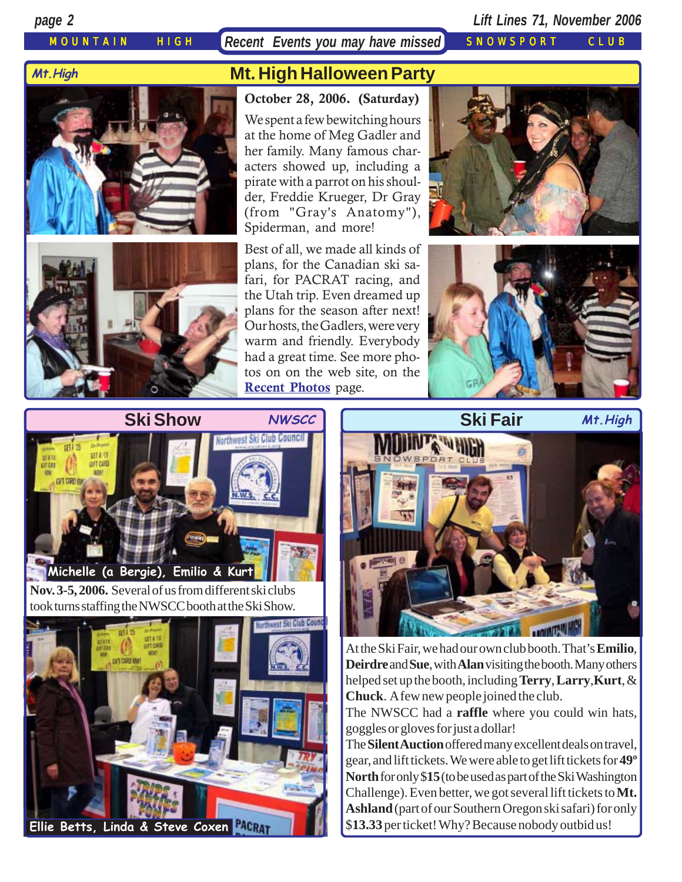MOUNTAIN HIGH *Recent Events you may have missed* SNOWSPORT CLUB

*page 2 Lift Lines 71, November 2006*

#### **Mt.High**





# **Mt. High Halloween Party**

**October 28, 2006. (Saturday)** We spent a few bewitching hours at the home of Meg Gadler and her family. Many famous characters showed up, including a pirate with a parrot on his shoulder, Freddie Krueger, Dr Gray (from "Gray's Anatomy"), Spiderman, and more!

Best of all, we made all kinds of plans, for the Canadian ski safari, for PACRAT racing, and the Utah trip. Even dreamed up plans for the season after next! Our hosts, the Gadlers, were very warm and friendly. Everybody had a great time. See more photos on on the web site, on the **[Recent Photos](http://www.mthigh.org/PhotosRecent.htm)** page.







**Nov. 3-5, 2006.** Several of us from different ski clubs took turns staffing the NWSCC booth at the Ski Show.





At the Ski Fair, we had our own club booth. That's **Emilio**, **Deirdre** and **Sue**, with **Alan** visiting the booth. Many others helped set up the booth, including **Terry**, **Larry**,**Kurt**, & **Chuck**. A few new people joined the club.

The NWSCC had a **raffle** where you could win hats, goggles or gloves for just a dollar!

The **Silent Auction** offered many excellent deals on travel, gear, and lift tickets. We were able to get lift tickets for **49º North** for only \$**15** (to be used as part of the Ski Washington Challenge). Even better, we got several lift tickets to **Mt. Ashland** (part of our Southern Oregon ski safari) for only \$**13.33** per ticket! Why? Because nobody outbid us!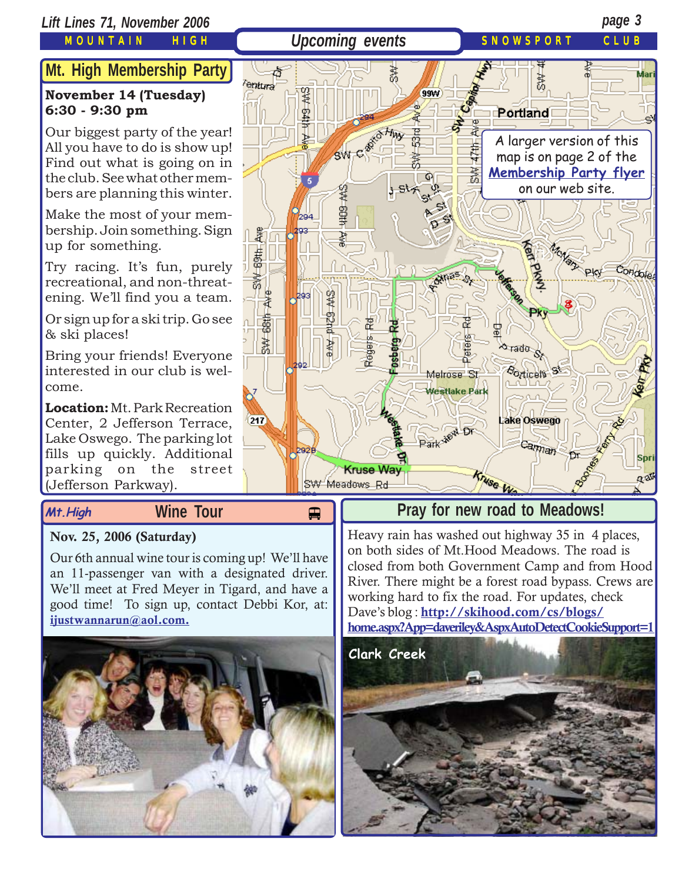### *Lift Lines 71, November 2006 page 3*

MOUNTAIN HIGH

## **Upcoming events** SNOWSPORT CLUB

# **Mt. High Membership Party**

### **November 14 (Tuesday) 6:30 - 9:30 pm**

Our biggest party of the year! All you have to do is show up! Find out what is going on in the club. See what other members are planning this winter.

Make the most of your membership. Join something. Sign up for something.

Try racing. It's fun, purely recreational, and non-threatening. We'll find you a team.

Or sign up for a ski trip. Go see & ski places!

Bring your friends! Everyone interested in our club is welcome.

**Location:** Mt. Park Recreation Center, 2 Jefferson Terrace, Lake Oswego. The parking lot fills up quickly. Additional parking on the street (Jefferson Parkway).

# **Mt.High Wine Tour**

# **Nov. 25, 2006 (Saturday)**

Our 6th annual wine tour is coming up! We'll have an 11-passenger van with a designated driver. We'll meet at Fred Meyer in Tigard, and have a good time! To sign up, contact Debbi Kor, at: **[ijustwannarun@aol.com.](mailto:Ijustwannarun@aol.com)**





# **Pray for new road to Meadows!**

Heavy rain has washed out highway 35 in 4 places, on both sides of Mt.Hood Meadows. The road is closed from both Government Camp and from Hood River. There might be a forest road bypass. Crews are working hard to fix the road. For updates, check Dave's blog : **[http://skihood.com/cs/blogs/](http://skihood.com/cs/blogs/home.aspx?App=daveriley&AspxAutoDetectCookieSupport=1) [home.aspx?App=daveriley&AspxAutoDetectCookieSupport=1](http://skihood.com/cs/blogs/home.aspx?App=daveriley&AspxAutoDetectCookieSupport=1)**

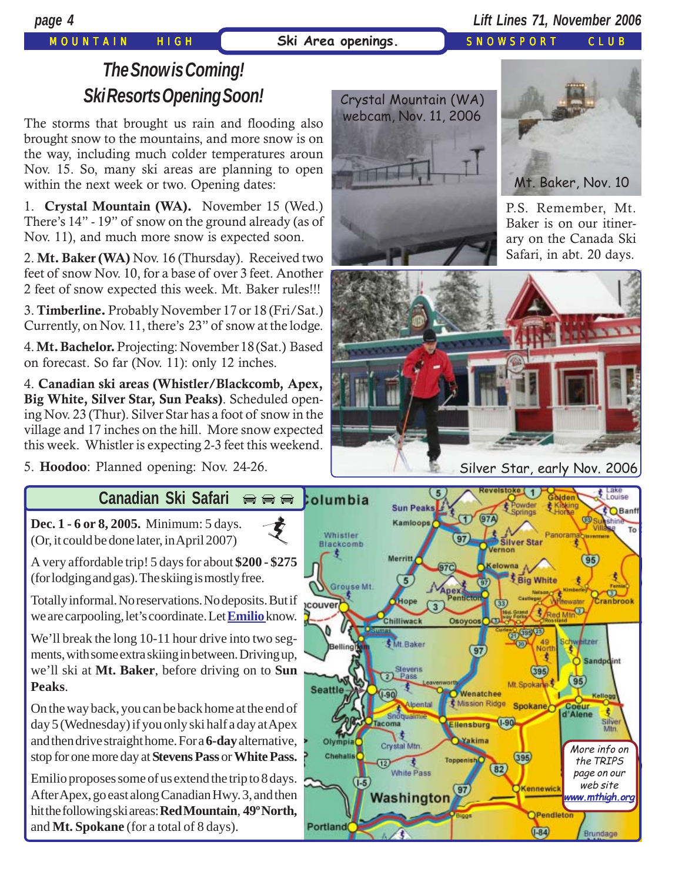# *page 4 Lift Lines 71, November 2006*

# MOUNTAIN HIGH | **Ski Area openings.** SNOWSPORT CLUB

# *The Snow is Coming! Ski Resorts Opening Soon!*

The storms that brought us rain and flooding also brought snow to the mountains, and more snow is on the way, including much colder temperatures aroun Nov. 15. So, many ski areas are planning to open within the next week or two. Opening dates:

1. **Crystal Mountain (WA).** November 15 (Wed.) There's 14" - 19" of snow on the ground already (as of Nov. 11), and much more snow is expected soon.

2. **Mt. Baker (WA)** Nov. 16 (Thursday). Received two feet of snow Nov. 10, for a base of over 3 feet. Another 2 feet of snow expected this week. Mt. Baker rules!!!

3. **Timberline.** Probably November 17 or 18 (Fri/Sat.) Currently, on Nov. 11, there's 23" of snow at the lodge.

4. **Mt. Bachelor.** Projecting: November 18 (Sat.) Based on forecast. So far (Nov. 11): only 12 inches.

4. **Canadian ski areas (Whistler/Blackcomb, Apex, Big White, Silver Star, Sun Peaks)**. Scheduled opening Nov. 23 (Thur). Silver Star has a foot of snow in the village and 17 inches on the hill. More snow expected this week. Whistler is expecting 2-3 feet this weekend.

5. **Hoodoo**: Planned opening: Nov. 24-26.

#### **Canadian Ski Safari**  $\bigoplus$   $\bigoplus$   $\bigoplus$

支

**[Dec. 1 - 6 or 8, 2005.](http://beavercreek.snow.com/winterhome.asp)** Minimum: 5 days. (Or, it could be done later, in April 2007)

A very affordable trip! 5 days for about **\$200 - \$275** (for lodging and gas). The skiing is mostly free.

Totally informal. No reservations. No deposits. But if we are carpooling, let's coordinate. Let **[Emilio](mailto:info@mthigh.org)** know.

We'll break the long 10-11 hour drive into two segments, with some extra skiing in between. Driving up, we'll ski at **Mt. Baker**, before driving on to **Sun Peaks**.

On the way back, you can be back home at the end of day 5 (Wednesday) if you only ski half a day at Apex and then drive straight home. For a **6-day** alternative, stop for one more day at **Stevens Pass** or **White Pass.**

Emilio proposes some of us extend the trip to 8 days. After Apex, go east along Canadian Hwy. 3, and then hit the following ski areas: **Red Mountain**, **49º North,** and **Mt. Spokane** (for a total of 8 days).









Silver Star, early Nov. 2006

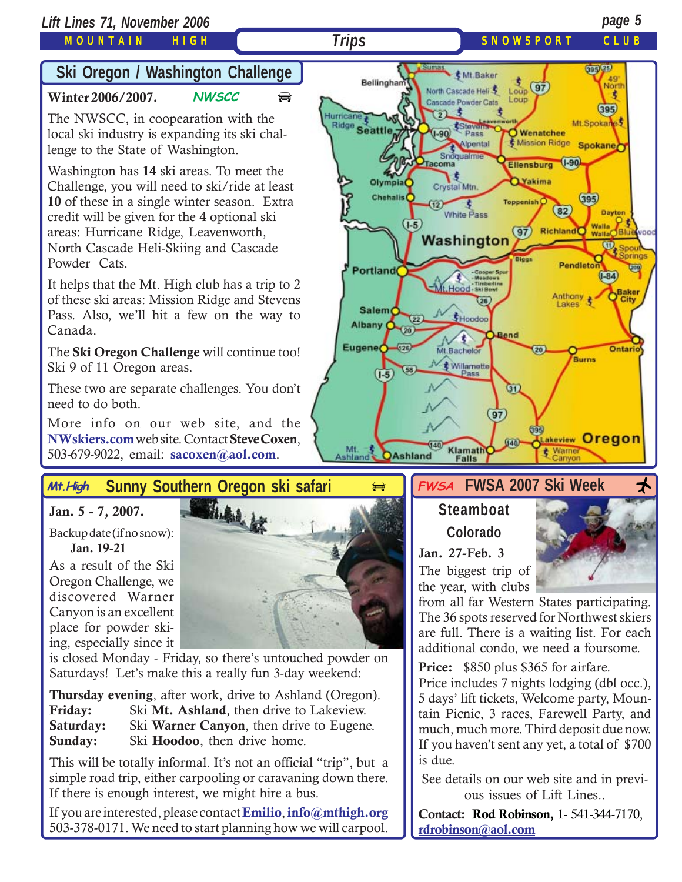### MOUNTAIN HIGH

# **Ski Oregon / Washington Challeng[e](http://beavercreek.snow.com/winterhome.asp)**

#### **[Winter 2006/2007.](http://beavercreek.snow.com/winterhome.asp) NWSCC**  $\bigoplus$  $\bigoplus$  $\bigoplus$

The NWSCC, in coopearation with the local ski industry is expanding its ski challenge to the State of Washington.

Washington has **14** ski areas. To meet the Challenge, you will need to ski/ride at least **10** of these in a single winter season. Extra credit will be given for the 4 optional ski areas: Hurricane Ridge, Leavenworth, North Cascade Heli-Skiing and Cascade Powder Cats.

It helps that the Mt. High club has a trip to 2 of these ski areas: Mission Ridge and Stevens Pass. Also, we'll hit a few on the way to Canada.

The **Ski Oregon Challenge** will continue too! Ski 9 of 11 Oregon areas.

These two are separate challenges. You don't need to do both.

More info on our web site, and the **[NWskiers.com](http://www.nwskiers.org/)** web site. Contact **Steve Coxen**, 503-679-9022, email: **[sacoxen@aol.com](mailto:sacoxen@aol.com)**.

#### **Sunny Southern Oregon ski safari Mt.High**

#### **Jan. 5 - 7, 2007.**

Backup date (if no snow):  **Jan. 19-21**

As a result of the Ski Oregon Challenge, we discovered Warner Canyon is an excellent place for powder skiing, especially since it



is closed Monday - Friday, so there's untouched powder on Saturdays! Let's make this a really fun 3-day weekend:

**Thursday evening**, after work, drive to Ashland (Oregon).<br>Friday: Ski Mt. Ashland, then drive to Lakeview. Ski Mt. Ashland, then drive to Lakeview. **Saturday:** Ski **Warner Canyon**, then drive to Eugene. **Sunday:** Ski **Hoodoo**, then drive home.

This will be totally informal. It's not an official "trip", but a simple road trip, either carpooling or caravaning down there. If there is enough interest, we might hire a bus.

If you are interested, please contact **[Emilio](mailto:Emilio2000@earthlink.net)**, **[info@mthigh.org](mailto:info@mthigh.org)** 503-378-0171. We need to start planning how we will carpool.



#### $\bigoplus$  FWSA FWSA 2007 Ski Week  $\star$ **FWSA**

# **Steamboat Colorado**

**Jan. 27-Feb. 3** The biggest trip of the year, with clubs

from all far Western States participating. The 36 spots reserved for Northwest skiers are full. There is a waiting list. For each additional condo, we need a foursome.

**Price:** \$850 plus \$365 for airfare.

Price includes 7 nights lodging (dbl occ.), 5 days' lift tickets, Welcome party, Mountain Picnic, 3 races, Farewell Party, and much, much more. Third deposit due now. If you haven't sent any yet, a total of \$700 is due.

See details on our web site and in previous issues of Lift Lines..

**Contact: Rod Robinson,** 1- 541-344-7170, **[rdrobinson@aol.com](mailto:rdrobinson@aol.com)**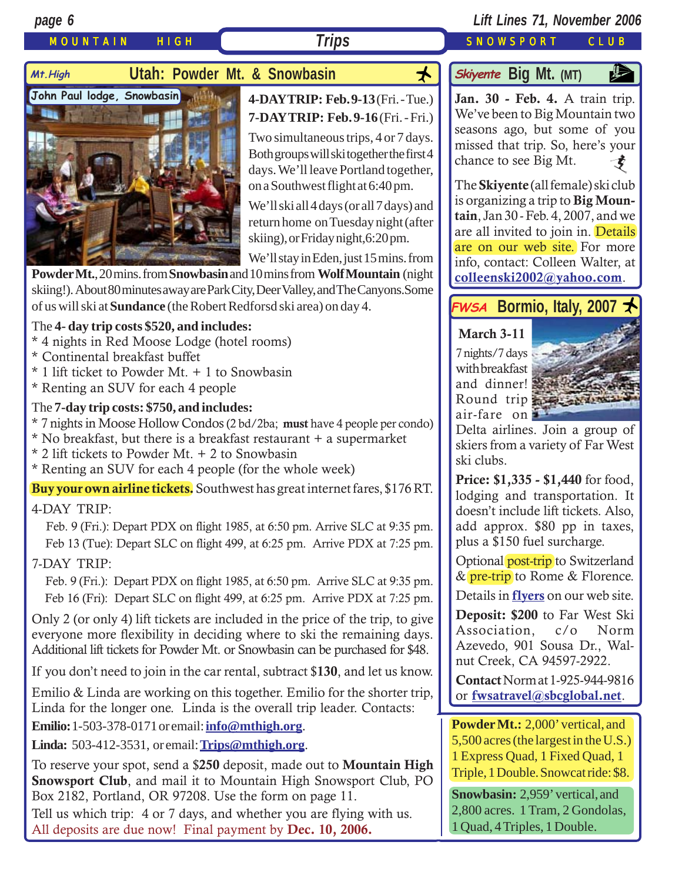### MOUNTAIN HIGH *Trips* SNOWSPORT CLUB

#### *page 6 Lift Lines 71, November 2006*

# Mt.High **Utah: Powder Mt. & Snowbasin**



### **4-DAY TRIP: Feb. 9-13** (Fri. - Tue.) **7-DAY TRIP: Feb. 9-16** (Fri. - Fri.)

Two simultaneous trips, 4 or 7 days. Both groups will ski together the first 4 days. We'll leave Portland together, on a Southwest flight at 6:40 pm.

We'll ski all 4 days (or all 7 days) and return home on Tuesday night (after skiing), or Friday night,6:20 pm.

We'll stay in Eden, just 15 mins. from

**Powder Mt.**, 20 mins. from **Snowbasin** and 10 mins from **Wolf Mountain** (night skiing!). About 80 minutes away are Park City, Deer Valley, and The Canyons.Some of us will ski at **Sundance** (the Robert Redforsd ski area) on day 4.

#### The **4- day trip costs \$520, and includes:**

- \* 4 nights in Red Moose Lodge (hotel rooms)
- \* Continental breakfast buffet
- \* 1 lift ticket to Powder Mt. + 1 to Snowbasin
- \* Renting an SUV for each 4 people

#### The **7-day trip costs: \$750, and includes:**

- \* 7 nights in Moose Hollow Condos (2 bd/2ba; **must** have 4 people per condo)
- \* No breakfast, but there is a breakfast restaurant + a supermarket
- \* 2 lift tickets to Powder Mt. + 2 to Snowbasin
- \* Renting an SUV for each 4 people (for the whole week)

**Buy your own airline tickets.** Southwest has great internet fares, \$176 RT.

#### 4-DAY TRIP:

 Feb. 9 (Fri.): Depart PDX on flight 1985, at 6:50 pm. Arrive SLC at 9:35 pm. Feb 13 (Tue): Depart SLC on flight 499, at 6:25 pm. Arrive PDX at 7:25 pm.

#### 7-DAY TRIP:

 Feb. 9 (Fri.): Depart PDX on flight 1985, at 6:50 pm. Arrive SLC at 9:35 pm. Feb 16 (Fri): Depart SLC on flight 499, at 6:25 pm. Arrive PDX at 7:25 pm.

Only 2 (or only 4) lift tickets are included in the price of the trip, to give everyone more flexibility in deciding where to ski the remaining days. Additional lift tickets for Powder Mt. or Snowbasin can be purchased for \$48.

If you don't need to join in the car rental, subtract \$**130**, and let us know.

Emilio & Linda are working on this together. Emilio for the shorter trip, Linda for the longer one. Linda is the overall trip leader. Contacts:

**Emilio:**1-503-378-0171 or email: **[info@mthigh.org](mailto:info@mthigh.org)**.

**Linda:** 503-412-3531, or email: **[Trips@mthigh.org](mailto:Trips@mthigh.org)**.

To reserve your spot, send a \$**250** deposit, made out to **Mountain High Snowsport Club**, and mail it to Mountain High Snowsport Club, PO Box 2182, Portland, OR 97208. Use the form on page 11.

Tell us which trip: 4 or 7 days, and whether you are flying with us. All deposits are due now! Final payment by **Dec. 10, 2006.**

# **Big Mt.** (MT)

**[Jan. 30 - Feb. 4.](http://beavercreek.snow.com/winterhome.asp)** A train trip. [We](http://beavercreek.snow.com/winterhome.asp)'ve been to Big Mountain two seasons ago, but some of you missed that trip. So, here's your chance to see Big Mt.  $\boldsymbol{\zeta}$ 

The **Skiyente** (all female) ski club is organizing a trip to **Big Mountain**, Jan 30 - Feb. 4, 2007, and we are all invited to join in. Details are on our web site. For more info, contact: Colleen Walter, at **[colleenski2002@yahoo.com](mailto:colleenski2002@yahoo.com)**.

# **FWSA** Bormio, Italy, 2007

#### **March 3-11**

 $7$  nights/7 days with breakfast and dinner! Round trip air-fare on



Delta airlines. Join a group of skiers from a variety of Far West ski clubs.

**Price: \$1,335 - \$1,440** for food, lodging and transportation. It doesn't include lift tickets. Also, add approx. \$80 pp in taxes, plus a \$150 fuel surcharge.

Optional post-trip to Switzerland & pre-trip to Rome & Florence.

Details in **[flyers](http://www.mthigh.org/Trips.htm#Bormio)** on our web site.

**Deposit: \$200** to Far West Ski Association, c/o Norm Azevedo, 901 Sousa Dr., Walnut Creek, CA 94597-2922.

**Contact** Norm at 1-925-944-9816 or **[fwsatravel@sbcglobal.net](mailto:fwsatravel@sbcglobal.net)**.

**Powder Mt.:** 2,000' vertical, and 5,500 acres (the largest in the U.S.) 1 Express Quad, 1 Fixed Quad, 1 Triple, 1 Double. Snowcat ride: \$8.

**Snowbasin:** 2,959' vertical, and 2,800 acres. 1 Tram, 2 Gondolas, 1 Quad, 4 Triples, 1 Double.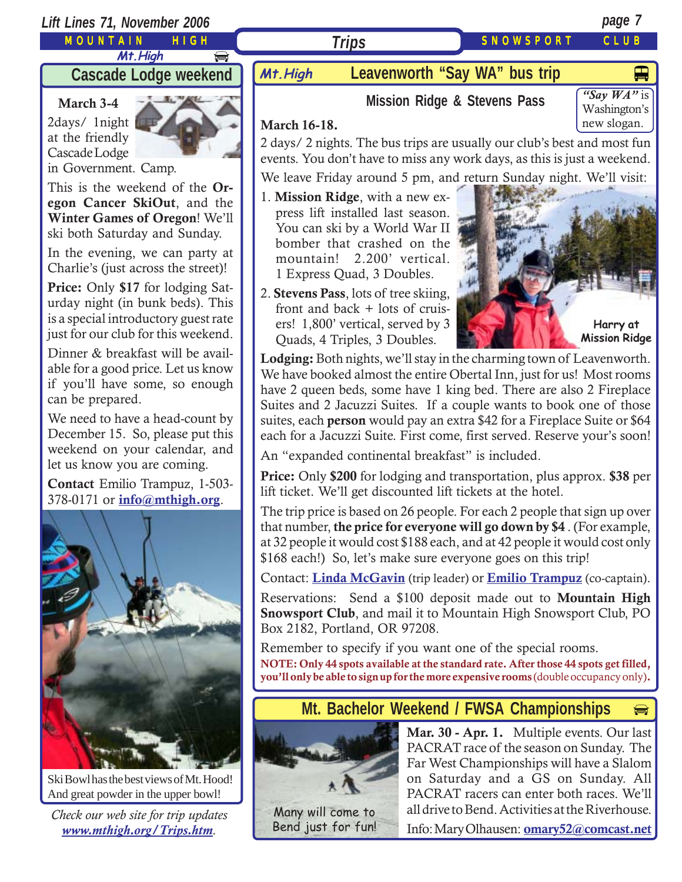### *Lift Lines 71, November 2006 page 7*

MOUNTAIN HIGH

**Mt.High**  $\bigoplus$ 

 **Cascade Lodge weekend**

### **March 3-4**

2days/ 1night at the friendly Cascade Lodge



in Government. Camp.

This is the weekend of the **Oregon Cancer SkiOut**, and the **Winter Games of Oregon**! We'll ski both Saturday and Sunday.

In the evening, we can party at Charlie's (just across the street)!

**Price:** Only **\$17** for lodging Saturday night (in bunk beds). This is a special introductory guest rate just for our club for this weekend.

Dinner & breakfast will be available for a good price. Let us know if you'll have some, so enough can be prepared.

We need to have a head-count by December 15. So, please put this weekend on your calendar, and let us know you are coming.

**Contact** Emilio Trampuz, 1-503- 378-0171 or **[info@mthigh.org](mailto:info@mthigh.org)**.



Ski Bowl has the best views of Mt. Hood! And great powder in the upper bowl!

*Check our web site for trip updates [www.mthigh.org/Trips.htm](http://www.mthigh.org/Trips.htm).*

# **Mt.High Leavenworth "Say WA" bus trip**

*Trips*

# **Mission Ridge & Stevens Pass**

### **March 16-18.**

2 days/ 2 nights. The bus trips are usually our club's best and most fun events. You don't have to miss any work days, as this is just a weekend.

We leave Friday around 5 pm, and return Sunday night. We'll visit:

1. **Mission Ridge**, with a new express lift installed last season. You can ski by a World War II bomber that crashed on the mountain! 2.200' vertical. 1 Express Quad, 3 Doubles.

2. **Stevens Pass**, lots of tree skiing, front and back + lots of cruis-



ers! 1,800' vertical, served by 3 Quads, 4 Triples, 3 Doubles. **Lodging:** Both nights, we'll stay in the charming town of Leavenworth.

We have booked almost the entire Obertal Inn, just for us! Most rooms have 2 queen beds, some have 1 king bed. There are also 2 Fireplace Suites and 2 Jacuzzi Suites. If a couple wants to book one of those suites, each **person** would pay an extra \$42 for a Fireplace Suite or \$64 each for a Jacuzzi Suite. First come, first served. Reserve your's soon!

An "expanded continental breakfast" is included.

**Price:** Only **\$200** for lodging and transportation, plus approx. **\$38** per lift ticket. We'll get discounted lift tickets at the hotel.

The trip price is based on 26 people. For each 2 people that sign up over that number, **the price for everyone will go down by \$4** . (For example, at 32 people it would cost \$188 each, and at 42 people it would cost only \$168 each!) So, let's make sure everyone goes on this trip!

Contact: **[Linda McGavin](mailto:Trips@mthigh.org)** (trip leader) or **[Emilio Trampuz](mailto:info@mthigh.org)** (co-captain).

Reservations: Send a \$100 deposit made out to **Mountain High Snowsport Club**, and mail it to Mountain High Snowsport Club, PO Box 2182, Portland, OR 97208.

Remember to specify if you want one of the special rooms. **NOTE: Only 44 spots available at the standard rate. After those 44 spots get filled, you'll only be able to sign up for the more expensive rooms** (double occupancy only)**.**

# **Mt. Bachelor Weekend / FWSA Championships**



**Mar. 30 - Apr. 1.** Multiple events. Our last PACRAT race of the season on Sunday. The Far West Championships will have a Slalom on Saturday and a GS on Sunday. All PACRAT racers can enter both races. We'll all drive to Bend. Activities at the Riverhouse.

▅

Many will come to Bend just for fun!

Info: Mary Olhausen: **[omary52@comcast.net](mailto:omary52@comcast.net)**



SNOWSPORT CLUB



*"Say WA"* is Washington's new slogan.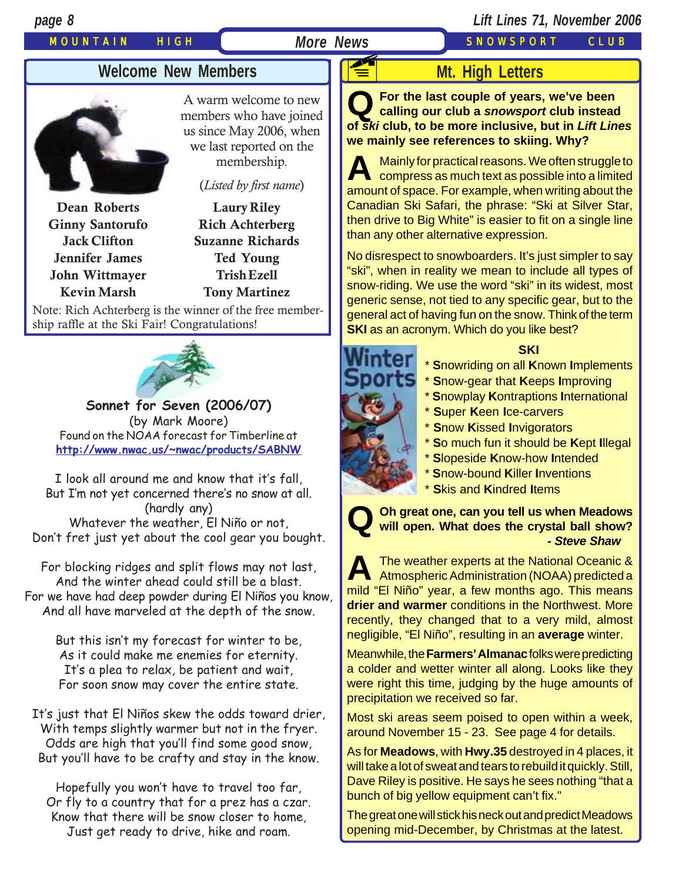# MOUNTAIN HIGH *More News* SNOWSPORT CLUB

# *page 8 Lift Lines 71, November 2006*

# **Welcome New Members**



A warm welcome to new members who have joined us since May 2006, when we last reported on the membership.

(*Listed by first name*)

**Dean Roberts Ginny Santorufo Jack Clifton Jennifer James John Wittmayer Kevin Marsh**

**Laury Riley Rich Achterberg Suzanne Richards Ted Young Trish Ezell Tony Martinez**

Note: Rich Achterberg is the winner of the free membership raffle at the Ski Fair! Congratulations!



**Sonnet for Seven (2006/07)** (by Mark Moore) Found on the NOAA forecast for Timberline at **<http://www.nwac.us/~nwac/products/SABNW>**

I look all around me and know that it's fall, But I'm not yet concerned there's no snow at all. (hardly any) Whatever the weather, El Niño or not, Don't fret just yet about the cool gear you bought.

For blocking ridges and split flows may not last, And the winter ahead could still be a blast. For we have had deep powder during El Niños you know, And all have marveled at the depth of the snow.

But this isn't my forecast for winter to be, As it could make me enemies for eternity. It's a plea to relax, be patient and wait, For soon snow may cover the entire state.

It's just that El Niños skew the odds toward drier, With temps slightly warmer but not in the fryer. Odds are high that you'll find some good snow, But you'll have to be crafty and stay in the know.

Hopefully you won't have to travel too far, Or fly to a country that for a prez has a czar. Know that there will be snow closer to home, Just get ready to drive, hike and roam.

# **Mt. High Letters**

**Q For the last couple of years, we've been calling our club a** *snowsport* **club instead of** *ski* **club, to be more inclusive, but in** *Lift Lines* **we mainly see references to skiing. Why? F** 

**A** Mainly for practical reasons. We often struggle to compress as much text as possible into a limited amount of space. For example, when writing about the Canadian Ski Safari, the phrase: "Ski at Silver Star, then drive to Big White" is easier to fit on a single line than any other alternative expression.

No disrespect to snowboarders. It's just simpler to say "ski", when in reality we mean to include all types of snow-riding. We use the word "ski" in its widest, most generic sense, not tied to any specific gear, but to the general act of having fun on the snow. Think of the term **SKI** as an acronym. Which do you like best?

#### **SKI**

\* **S**nowriding on all **K**nown **I**mplements

- \* **S**now-gear that **K**eeps **I**mproving
	- \* **S**nowplay **K**ontraptions **I**nternational
	- \* **S**uper **K**een **I**ce-carvers
	- \* **S**now **K**issed **I**nvigorators
	- \* **S**o much fun it should be **K**ept **I**llegal
	- \* **S**lopeside **K**now-how **I**ntended
	- \* **S**now-bound **K**iller **I**nventions
	- \* **S**kis and **K**indred **I**tems

**Q Oh great one, can you tell us when Meadows will open. What does the crystal ball show?** *- Steve Shaw*

**A** The weather experts at the National Oceanic & Atmospheric Administration (NOAA) predicted a mild "El Niño" year, a few months ago. This means **drier and warmer** conditions in the Northwest. More recently, they changed that to a very mild, almost negligible, "El Niño", resulting in an **average** winter.

Meanwhile, the **Farmers' Almanac** folks were predicting a colder and wetter winter all along. Looks like they were right this time, judging by the huge amounts of precipitation we received so far.

Most ski areas seem poised to open within a week, around November 15 - 23. See page 4 for details.

As for **Meadows**, with **Hwy.35** destroyed in 4 places, it will take a lot of sweat and tears to rebuild it quickly. Still, Dave Riley is positive. He says he sees nothing "that a bunch of big yellow equipment can't fix."

The great one will stick his neck out and predict Meadows opening mid-December, by Christmas at the latest.

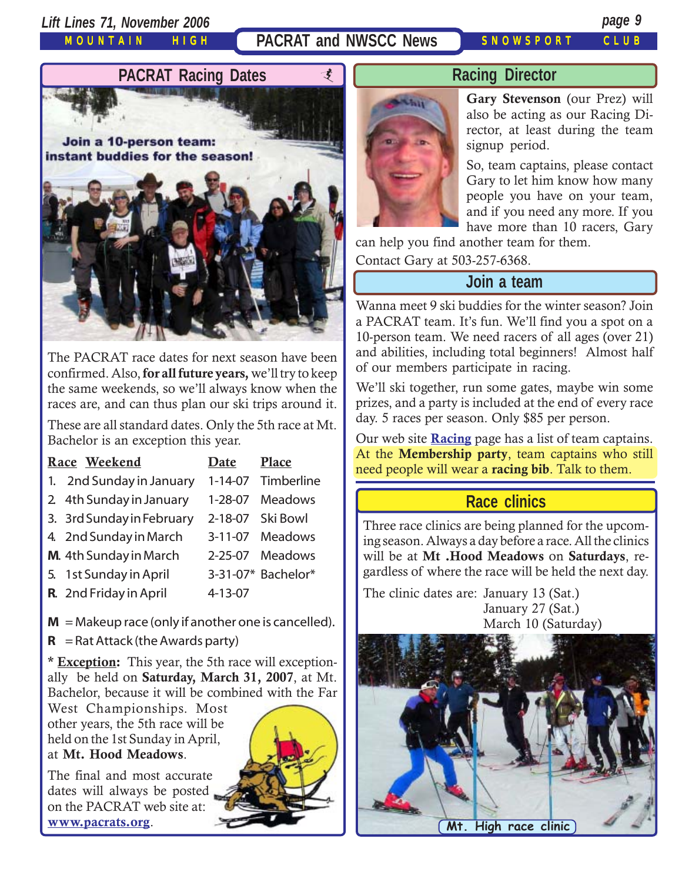*Lift Lines 71, November 2006 page 9*

MOUNTAIN HIGH

PACRAT and NWSCC News SNOWSPORT CLUB



The PACRAT race dates for next season have been confirmed. Also, **for all future years,** we'll try to keep the same weekends, so we'll always know when the races are, and can thus plan our ski trips around it.

These are all standard dates. Only the 5th race at Mt. Bachelor is an exception this year.

| Race Weekend                                          | <b>Date</b>   | Place              |
|-------------------------------------------------------|---------------|--------------------|
| 1. 2nd Sunday in January                              |               | 1-14-07 Timberline |
| 2 4th Sunday in January                               |               | 1-28-07 Meadows    |
| 3. 3rd Sunday in February                             |               | 2-18-07 Ski Bowl   |
| 4. 2nd Sunday in March                                |               | 3-11-07 Meadows    |
| M. 4th Sunday in March                                |               | 2-25-07 Meadows    |
| 5. 1st Sunday in April                                |               | 3-31-07* Bachelor* |
| R. 2nd Friday in April                                | $4 - 13 - 07$ |                    |
| $M =$ Makeup race (only if another one is cancelled). |               |                    |

 $R =$ Rat Attack (the Awards party)

**\* Exception:** This year, the 5th race will exceptionally be held on **Saturday, March 31, 2007**, at Mt. Bachelor, because it will be combined with the Far

West Championships. Most other years, the 5th race will be held on the 1st Sunday in April, at **Mt. Hood Meadows**.

The final and most accurate dates will always be posted on the PACRAT web site at: **[www.pacrats.org](http://www.pacrats.org/)**.



i **Racing Director**

**Gary Stevenson** (our Prez) will also be acting as our Racing Director, at least during the team signup period.

So, team captains, please contact Gary to let him know how many people you have on your team, and if you need any more. If you have more than 10 racers, Gary

can help you find another team for them.

Contact Gary at 503-257-6368.

## **Join a team**

Wanna meet 9 ski buddies for the winter season? Join a PACRAT team. It's fun. We'll find you a spot on a 10-person team. We need racers of all ages (over 21) and abilities, including total beginners! Almost half of our members participate in racing.

We'll ski together, run some gates, maybe win some prizes, and a party is included at the end of every race day. 5 races per season. Only \$85 per person.

Our web site **[Racing](http://www.mthigh.org/Racing.htm)** page has a list of team captains. At the **Membership party**, team captains who still need people will wear a **racing bib**. Talk to them.

# **Race clinics**

Three race clinics are being planned for the upcoming season. Always a day before a race. All the clinics will be at **Mt .Hood Meadows** on **Saturdays**, regardless of where the race will be held the next day.

The clinic dates are: January 13 (Sat.) January 27 (Sat.) March 10 (Saturday)

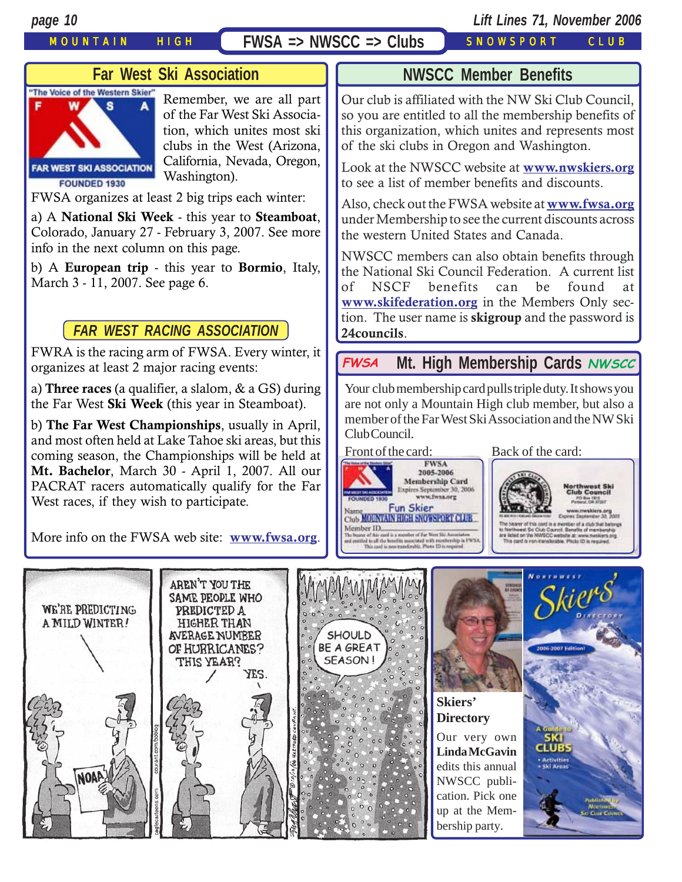### MOUNTAIN HIGH **FWSA => NWSCC => Clubs** SNOWSPORT CLUB

## *page 10 Lift Lines 71, November 2006*

# **Far West Ski Association**



Remember, we are all part of the Far West Ski Association, which unites most ski clubs in the West (Arizona, California, Nevada, Oregon, Washington).

FWSA organizes at least 2 big trips each winter:

a) A **National Ski Week** - this year to **Steamboat**, Colorado, January 27 - February 3, 2007. See more info in the next column on this page.

b) A **European trip** - this year to **Bormio**, Italy, March 3 - 11, 2007. See page 6.

### *FAR WEST RACING ASSOCIATION*

FWRA is the racing arm of FWSA. Every winter, it organizes at least 2 major racing events:

a) **Three races** (a qualifier, a slalom, & a GS) during the Far West **Ski Week** (this year in Steamboat).

b) **The Far West Championships**, usually in April, and most often held at Lake Tahoe ski areas, but this coming season, the Championships will be held at **Mt. Bachelor**, March 30 - April 1, 2007. All our PACRAT racers automatically qualify for the Far West races, if they wish to participate.

More info on the FWSA web site: **[www.fwsa.org](http://www.fwsa.org/)**.

### **NWSCC Member Benefit[s](http://beavercreek.snow.com/winterhome.asp)**

[Our club is affiliated with the NW Ski Club Council,](http://beavercreek.snow.com/winterhome.asp) so you are entitled to all the membership benefits of this organization, which unites and represents most of the ski clubs in Oregon and Washington.

Look at the NWSCC website at **[www.nwskiers.org](http://www.nwskiers.org/)** to see a list of member benefits and discounts.

Also, check out the FWSA website at **[www.fwsa.org](http://www.fwsa.org/)** under Membership to see the current discounts across the western United States and Canada.

NWSCC members can also obtain benefits through the National Ski Council Federation. A current list of NSCF benefits can be found at **[www.skifederation.org](http://www.skifederation.org/)** in the Members Only section. The user name is **skigroup** and the password is **24councils**.

# **Mt. High Membership Cards FWSA NWSCC**

Your club membership card pulls triple duty. It shows you are not only a Mountain High club member, but also a member of the Far West Ski Association and the NW Ski Club Council.





bearer of this card is a member of a club that belongs ol B

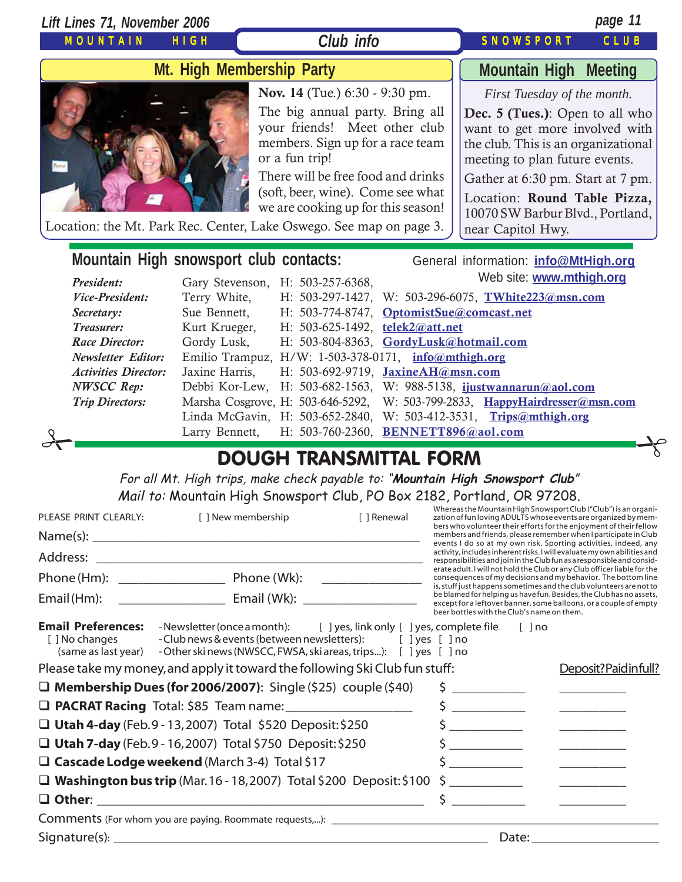| Lift Lines 71, November 2006                                                                               |                              |                                                                                                                                                                                                                                                                           |  |                                                                                                                                                                                                                                                                                                                 | page 11 |  |  |
|------------------------------------------------------------------------------------------------------------|------------------------------|---------------------------------------------------------------------------------------------------------------------------------------------------------------------------------------------------------------------------------------------------------------------------|--|-----------------------------------------------------------------------------------------------------------------------------------------------------------------------------------------------------------------------------------------------------------------------------------------------------------------|---------|--|--|
| <b>MOUNTAIN</b>                                                                                            | <b>HIGH</b>                  | Club info                                                                                                                                                                                                                                                                 |  | <b>SNOWSPORT</b>                                                                                                                                                                                                                                                                                                | CLUB    |  |  |
| Mt. High Membership Party                                                                                  | <b>Mountain High Meeting</b> |                                                                                                                                                                                                                                                                           |  |                                                                                                                                                                                                                                                                                                                 |         |  |  |
| Location: the Mt. Park Rec. Center, Lake Oswego. See map on page 3.                                        |                              | Nov. 14 (Tue.) 6:30 - 9:30 pm.<br>The big annual party. Bring all<br>your friends! Meet other club<br>members. Sign up for a race team<br>or a fun trip!<br>There will be free food and drinks<br>(soft, beer, wine). Come see what<br>we are cooking up for this season! |  | First Tuesday of the month.<br><b>Dec. 5 (Tues.)</b> : Open to all who<br>want to get more involved with<br>the club. This is an organizational<br>meeting to plan future events.<br>Gather at 6:30 pm. Start at 7 pm.<br>Location: Round Table Pizza,<br>10070 SW Barbur Blvd., Portland,<br>near Capitol Hwy. |         |  |  |
| Mountain High snowsport club contacts:<br>General information: info@MtHigh.org<br>Web site: www.mthigh.org |                              |                                                                                                                                                                                                                                                                           |  |                                                                                                                                                                                                                                                                                                                 |         |  |  |
| President:<br>Vice-President:                                                                              |                              | Gary Stevenson, H: 503-257-6368,                                                                                                                                                                                                                                          |  | H: 503-297-1427, W: 503-296-6075, TWhite223@msn.com                                                                                                                                                                                                                                                             |         |  |  |
| Secretary:                                                                                                 | Terry White,<br>Sue Bennett, | H: 503-774-8747, OptomistSue@comcast.net                                                                                                                                                                                                                                  |  |                                                                                                                                                                                                                                                                                                                 |         |  |  |
| Treasurer:                                                                                                 | Kurt Krueger,                | H: 503-625-1492, telek2@att.net                                                                                                                                                                                                                                           |  |                                                                                                                                                                                                                                                                                                                 |         |  |  |

*Race Director:* Gordy Lusk, H: 503-804-8363, **[GordyLusk@hotmail.com](mailto:gordylusk@hotmail.com)**

*Newsletter Editor:* Emilio Trampuz, H/W: 1-503-378-0171, **[info@mthigh.org](mailto:info@mthigh.org)**

*Activities Director:* Jaxine Harris, H: 503-692-9719, **[JaxineAH@msn.com](mailto:JaxineAH@msn.com)**

- *NWSCC Rep:* Debbi Kor-Lew, H: 503-682-1563, W: 988-5138, **[ijustwannarun@aol.com](mailto:Ijustwannarun@aol.com)**
- *Trip Directors:* Marsha Cosgrove, H: 503-646-5292, W: 503-799-2833, **[HappyHairdresser@msn.com](mailto:HappyHairdresser@msn.com)**
	- Linda McGavin, H: 503-652-2840, W: 503-412-3531, **[Trips@mthigh.org](mailto:Trips@mthigh.org)**
- Larry Bennett, H: 503-760-2360, **[BENNETT896@aol.com](mailto:BENNETT896@aol.com)**  $\frac{1}{\sqrt{1-\frac{1}{\sqrt{1-\frac{1}{\sqrt{1-\frac{1}{\sqrt{1-\frac{1}{\sqrt{1-\frac{1}{\sqrt{1-\frac{1}{\sqrt{1-\frac{1}{\sqrt{1-\frac{1}{\sqrt{1-\frac{1}{\sqrt{1-\frac{1}{\sqrt{1-\frac{1}{\sqrt{1-\frac{1}{\sqrt{1-\frac{1}{\sqrt{1-\frac{1}{\sqrt{1-\frac{1}{\sqrt{1-\frac{1}{\sqrt{1-\frac{1}{\sqrt{1-\frac{1}{\sqrt{1-\frac{1}{\sqrt{1-\frac{1}{\sqrt{1-\frac{1}{\sqrt{1-\frac{1}{\sqrt{1-\frac{1}{\sqrt{1-\frac{1$

# DOUGH TRANSMITTAL FORM

For all Mt. High trips, make check payable to: "**Mountain High Snowsport Club**" Mail to: Mountain High Snowsport Club, PO Box 2182, Portland, OR 97208.

| PLEASE PRINT CLEARLY:                                                                              | [ ] New membership                                                                                                                                                                                      | [ ] Renewal   |                                                                                                                                                                                                                                                                                                                                                                                                                                                             | Whereas the Mountain High Snowsport Club ("Club") is an organi-<br>zation of fun loving ADULTS whose events are organized by mem-<br>bers who volunteer their efforts for the enjoyment of their fellow |  |  |
|----------------------------------------------------------------------------------------------------|---------------------------------------------------------------------------------------------------------------------------------------------------------------------------------------------------------|---------------|-------------------------------------------------------------------------------------------------------------------------------------------------------------------------------------------------------------------------------------------------------------------------------------------------------------------------------------------------------------------------------------------------------------------------------------------------------------|---------------------------------------------------------------------------------------------------------------------------------------------------------------------------------------------------------|--|--|
|                                                                                                    |                                                                                                                                                                                                         |               |                                                                                                                                                                                                                                                                                                                                                                                                                                                             | members and friends, please remember when I participate in Club<br>events I do so at my own risk. Sporting activities, indeed, any                                                                      |  |  |
|                                                                                                    |                                                                                                                                                                                                         |               |                                                                                                                                                                                                                                                                                                                                                                                                                                                             | activity, includes inherent risks. I will evaluate my own abilities and<br>responsibilities and join in the Club fun as a responsible and consid-                                                       |  |  |
| Phone (Wk):<br>Phone (Hm): <u>_____________________</u>                                            |                                                                                                                                                                                                         |               | erate adult. I will not hold the Club or any Club officer liable for the<br>consequences of my decisions and my behavior. The bottom line                                                                                                                                                                                                                                                                                                                   |                                                                                                                                                                                                         |  |  |
| Email (Hm):                                                                                        |                                                                                                                                                                                                         |               | is, stuff just happens sometimes and the club volunteers are not to<br>be blamed for helping us have fun. Besides, the Club has no assets,<br>except for a leftover banner, some balloons, or a couple of empty<br>beer bottles with the Club's name on them.                                                                                                                                                                                               |                                                                                                                                                                                                         |  |  |
| <b>Email Preferences:</b><br>[ ] No changes<br>(same as last year)                                 | -Newsletter (once a month): [ ] yes, link only [ ] yes, complete file<br>- Club news & events (between newsletters): [ ] yes [ ] no<br>- Other ski news (NWSCC, FWSA, ski areas, trips): [ ] yes [ ] no |               |                                                                                                                                                                                                                                                                                                                                                                                                                                                             | $[ ]$ no                                                                                                                                                                                                |  |  |
| Please take my money, and apply it toward the following Ski Club fun stuff:<br>Deposit?Paidinfull? |                                                                                                                                                                                                         |               |                                                                                                                                                                                                                                                                                                                                                                                                                                                             |                                                                                                                                                                                                         |  |  |
|                                                                                                    | $\Box$ Membership Dues (for 2006/2007): Single (\$25) couple (\$40)                                                                                                                                     |               |                                                                                                                                                                                                                                                                                                                                                                                                                                                             |                                                                                                                                                                                                         |  |  |
| <b>Q PACRAT Racing</b> Total: \$85 Team name: ______________________                               |                                                                                                                                                                                                         |               | \$<br>$\begin{tabular}{ccccc} \multicolumn{2}{c }{\textbf{1} & \multicolumn{2}{c }{\textbf{2} & \multicolumn{2}{c }{\textbf{3} & \multicolumn{2}{c }{\textbf{4} & \multicolumn{2}{c }{\textbf{5} & \multicolumn{2}{c }{\textbf{6} & \multicolumn{2}{c }{\textbf{6} & \multicolumn{2}{c }{\textbf{6} & \multicolumn{2}{c }{\textbf{6} & \multicolumn{2}{c }{\textbf{6} & \multicolumn{2}{c }{\textbf{6} & \multicolumn{2}{c }{\textbf{6} & \multicolumn{2}{$ |                                                                                                                                                                                                         |  |  |
|                                                                                                    | □ Utah 4-day (Feb.9 - 13, 2007) Total \$520 Deposit: \$250                                                                                                                                              |               |                                                                                                                                                                                                                                                                                                                                                                                                                                                             |                                                                                                                                                                                                         |  |  |
| $\Box$ Utah 7-day (Feb. 9 - 16, 2007) Total \$750 Deposit: \$250                                   |                                                                                                                                                                                                         |               |                                                                                                                                                                                                                                                                                                                                                                                                                                                             |                                                                                                                                                                                                         |  |  |
|                                                                                                    | $\Box$ Cascade Lodge weekend (March 3-4) Total \$17                                                                                                                                                     | $\zeta$       |                                                                                                                                                                                                                                                                                                                                                                                                                                                             |                                                                                                                                                                                                         |  |  |
|                                                                                                    | $\Box$ Washington bus trip (Mar. 16 - 18, 2007) Total \$200 Deposit: \$100                                                                                                                              | $\sim$ $\sim$ |                                                                                                                                                                                                                                                                                                                                                                                                                                                             |                                                                                                                                                                                                         |  |  |
|                                                                                                    |                                                                                                                                                                                                         |               | Ś.                                                                                                                                                                                                                                                                                                                                                                                                                                                          |                                                                                                                                                                                                         |  |  |
|                                                                                                    |                                                                                                                                                                                                         |               |                                                                                                                                                                                                                                                                                                                                                                                                                                                             |                                                                                                                                                                                                         |  |  |
| Signature(s): $\overline{\phantom{a}}$                                                             |                                                                                                                                                                                                         |               | Date:                                                                                                                                                                                                                                                                                                                                                                                                                                                       |                                                                                                                                                                                                         |  |  |